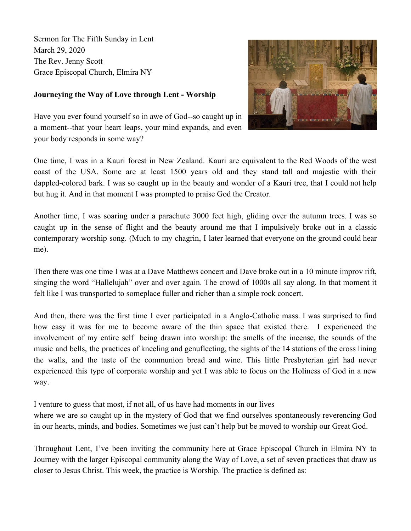Sermon for The Fifth Sunday in Lent March 29, 2020 The Rev. Jenny Scott Grace Episcopal Church, Elmira NY

## **Journeying the Way of Love through Lent - Worship**



Have you ever found yourself so in awe of God--so caught up in a moment--that your heart leaps, your mind expands, and even your body responds in some way?

One time, I was in a Kauri forest in New Zealand. Kauri are equivalent to the Red Woods of the west coast of the USA. Some are at least 1500 years old and they stand tall and majestic with their dappled-colored bark. I was so caught up in the beauty and wonder of a Kauri tree, that I could not help but hug it. And in that moment I was prompted to praise God the Creator.

Another time, I was soaring under a parachute 3000 feet high, gliding over the autumn trees. I was so caught up in the sense of flight and the beauty around me that I impulsively broke out in a classic contemporary worship song. (Much to my chagrin, I later learned that everyone on the ground could hear me).

Then there was one time I was at a Dave Matthews concert and Dave broke out in a 10 minute improv rift, singing the word "Hallelujah" over and over again. The crowd of 1000s all say along. In that moment it felt like I was transported to someplace fuller and richer than a simple rock concert.

And then, there was the first time I ever participated in a Anglo-Catholic mass. I was surprised to find how easy it was for me to become aware of the thin space that existed there. I experienced the involvement of my entire self being drawn into worship: the smells of the incense, the sounds of the music and bells, the practices of kneeling and genuflecting, the sights of the 14 stations of the cross lining the walls, and the taste of the communion bread and wine. This little Presbyterian girl had never experienced this type of corporate worship and yet I was able to focus on the Holiness of God in a new way.

I venture to guess that most, if not all, of us have had moments in our lives

where we are so caught up in the mystery of God that we find ourselves spontaneously reverencing God in our hearts, minds, and bodies. Sometimes we just can't help but be moved to worship our Great God.

Throughout Lent, I've been inviting the community here at Grace Episcopal Church in Elmira NY to Journey with the larger Episcopal community along the Way of Love, a set of seven practices that draw us closer to Jesus Christ. This week, the practice is Worship. The practice is defined as: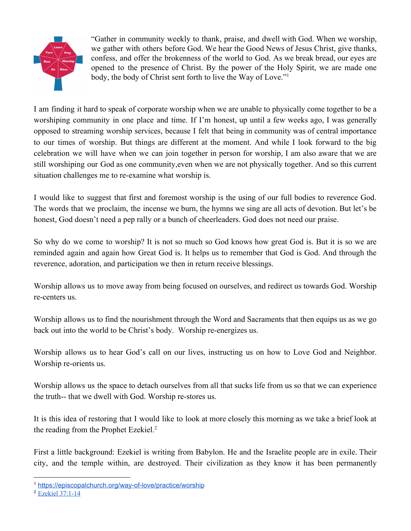

"Gather in community weekly to thank, praise, and dwell with God. When we worship, we gather with others before God. We hear the Good News of Jesus Christ, give thanks, confess, and offer the brokenness of the world to God. As we break bread, our eyes are opened to the presence of Christ. By the power of the Holy Spirit, we are made one body, the body of Christ sent forth to live the Way of Love."<sup>1</sup>

I am finding it hard to speak of corporate worship when we are unable to physically come together to be a worshiping community in one place and time. If I'm honest, up until a few weeks ago, I was generally opposed to streaming worship services, because I felt that being in community was of central importance to our times of worship. But things are different at the moment. And while I look forward to the big celebration we will have when we can join together in person for worship, I am also aware that we are still worshiping our God as one community,even when we are not physically together. And so this current situation challenges me to re-examine what worship is.

I would like to suggest that first and foremost worship is the using of our full bodies to reverence God. The words that we proclaim, the incense we burn, the hymns we sing are all acts of devotion. But let's be honest, God doesn't need a pep rally or a bunch of cheerleaders. God does not need our praise.

So why do we come to worship? It is not so much so God knows how great God is. But it is so we are reminded again and again how Great God is. It helps us to remember that God is God. And through the reverence, adoration, and participation we then in return receive blessings.

Worship allows us to move away from being focused on ourselves, and redirect us towards God. Worship re-centers us.

Worship allows us to find the nourishment through the Word and Sacraments that then equips us as we go back out into the world to be Christ's body. Worship re-energizes us.

Worship allows us to hear God's call on our lives, instructing us on how to Love God and Neighbor. Worship re-orients us.

Worship allows us the space to detach ourselves from all that sucks life from us so that we can experience the truth-- that we dwell with God. Worship re-stores us.

It is this idea of restoring that I would like to look at more closely this morning as we take a brief look at the reading from the Prophet Ezekiel.<sup>2</sup>

First a little background: Ezekiel is writing from Babylon. He and the Israelite people are in exile. Their city, and the temple within, are destroyed. Their civilization as they know it has been permanently

<sup>1</sup> <https://episcopalchurch.org/way-of-love/practice/worship>

<sup>2</sup> Ezekiel [37:1-14](https://www.lectionarypage.net/YearA_RCL/Lent/ALent5_RCL.html#ot1)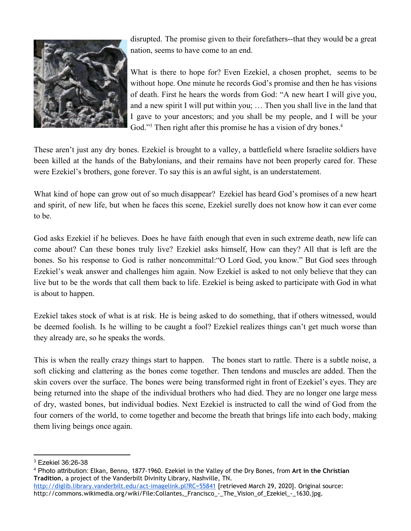

disrupted. The promise given to their forefathers--that they would be a great nation, seems to have come to an end.

What is there to hope for? Even Ezekiel, a chosen prophet, seems to be without hope. One minute he records God's promise and then he has visions of death. First he hears the words from God: "A new heart I will give you, and a new spirit I will put within you; … Then you shall live in the land that I gave to your ancestors; and you shall be my people, and I will be your God."<sup>3</sup> Then right after this promise he has a vision of dry bones.<sup>4</sup>

These aren't just any dry bones. Ezekiel is brought to a valley, a battlefield where Israelite soldiers have been killed at the hands of the Babylonians, and their remains have not been properly cared for. These were Ezekiel's brothers, gone forever. To say this is an awful sight, is an understatement.

What kind of hope can grow out of so much disappear? Ezekiel has heard God's promises of a new heart and spirit, of new life, but when he faces this scene, Ezekiel surelly does not know how it can ever come to be.

God asks Ezekiel if he believes. Does he have faith enough that even in such extreme death, new life can come about? Can these bones truly live? Ezekiel asks himself, How can they? All that is left are the bones. So his response to God is rather noncommittal:"O Lord God, you know." But God sees through Ezekiel's weak answer and challenges him again. Now Ezekiel is asked to not only believe that they can live but to be the words that call them back to life. Ezekiel is being asked to participate with God in what is about to happen.

Ezekiel takes stock of what is at risk. He is being asked to do something, that if others witnessed, would be deemed foolish. Is he willing to be caught a fool? Ezekiel realizes things can't get much worse than they already are, so he speaks the words.

This is when the really crazy things start to happen. The bones start to rattle. There is a subtle noise, a soft clicking and clattering as the bones come together. Then tendons and muscles are added. Then the skin covers over the surface. The bones were being transformed right in front of Ezekiel's eyes. They are being returned into the shape of the individual brothers who had died. They are no longer one large mess of dry, wasted bones, but individual bodies. Next Ezekiel is instructed to call the wind of God from the four corners of the world, to come together and become the breath that brings life into each body, making them living beings once again.

<sup>3</sup> Ezekiel 36:26-38

<sup>4</sup> Photo attribution: Elkan, Benno, 1877-1960. Ezekiel in the Valley of the Dry Bones, from **Art in the Christian Tradition**, a project of the Vanderbilt Divinity Library, Nashville, TN.

<http://diglib.library.vanderbilt.edu/act-imagelink.pl?RC=55841> [retrieved March 29, 2020]. Original source: http://commons.wikimedia.org/wiki/File:Collantes,\_Francisco\_-\_The\_Vision\_of\_Ezekiel\_-\_1630.jpg.